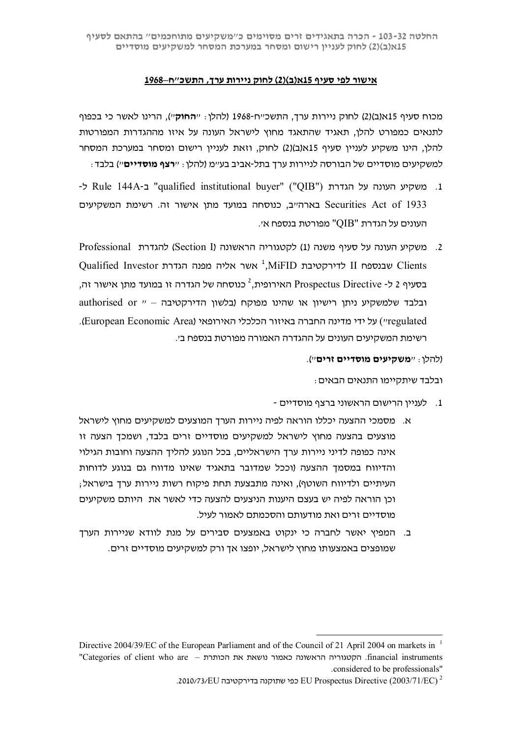#### **אישור לפי סעיף 15א(ב)(2) לחוק ניירות ערך, התשכ"ח–1968**

מכוח סעיף 15א(ב)(2) לחוק ניירות ערך, התשכ"ח1968- (להלן: "**החוק**"), הרינו לאשר כי בכפוף לתנאים כמפורט להלן, תאגיד שהתאגד מחוץ לישראל העונה על איזו מההגדרות המפורטות להלן, הינו משקיע לעניין סעיף 15א(ב)(2) לחוק, וזאת לעניין רישום ומסחר במערכת המסחר למשקיעים מוסדיים של הבורסה לניירות ערך בתל-אביב בע"מ (להלן: "**רצף מוסדיים**") בלבד:

- .1 משקיע העונה על הגדרת ("QIB" ("buyer institutional qualified "ב-A144 Rule ל- 1933 of Act Securities בארה"ב, כנוסחה במועד מתן אישור זה. רשימת המשקיעים העונים על הגדרת " $\rm{OIB}$ " מפורטת בנספח א׳.
- .2 משקיע העונה על סעיף משנה (1) לקטגוריה הראשונה (I Section (להגדרת Professional אשר אליה מפנה הגדרת Investor Qualified <sup>1</sup> Clients שבנספח II לדירקטיבת MiFID, 2 בסעיף 2 ל- Directive Prospectus האירופית, כנוסחה של הגדרה זו במועד מתן אישור זה, authorised or  $"$  - ובלבד שלמשקיע ניתן רישיון או שהינו מפוקח (בלשון הדירקטיבה regulated ("על ידי מדינה החברה באיזור הכלכלי האירופאי (Area Economic European(. רשימת המשקיעים העונים על ההגדרה האמורה מפורטת בנספח ב'.

### (להלן: "**משקיעים מוסדיים זרים**").

ובלבד שיתקיימו התנאים הבאים:

- .1 לעניין הרישום הראשוני ברצף מוסדיים -
- א. מסמכי ההצעה יכללו הוראה לפיה ניירות הערך המוצעים למשקיעים מחוץ לישראל מוצעים בהצעה מחוץ לישראל למשקיעים מוסדיים זרים בלבד, ושמכך הצעה זו אינה כפופה לדיני ניירות ערך הישראליים, בכל הנוגע להליך ההצעה וחובות הגילוי והדיווח במסמך ההצעה (וככל שמדובר בתאגיד שאינו מדווח גם בנוגע לדוחות העיתיים ולדיווח השוטף), ואינה מתבצעת תחת פיקוח רשות ניירות ערך בישראל; וכן הוראה לפיה יש בעצם היענות הניצעים להצעה כדי לאשר את היותם משקיעים מוסדיים זרים ואת מודעותם והסכמתם לאמור לעיל.
- ב. המפיץ יאשר לחברה כי ינקוט באמצעים סבירים על מנת לוודא שניירות הערך שמופצים באמצעותו מחוץ לישראל, יופצו אך ורק למשקיעים מוסדיים זרים.

 $\overline{a}$ 

Directive 2004/39/EC of the European Parliament and of the Council of 21 April 2004 on markets in <sup>1</sup> "Categories of client who are – הכותרת את נושאת כאמור הראשונה הקטגוריה .financial instruments .considered to be professionals"

<sup>.2010/73/</sup>EU כפי שתוקנה בדירקטיבה EU Prospectus Directive (2003/71/EC)  $^{\rm 2}$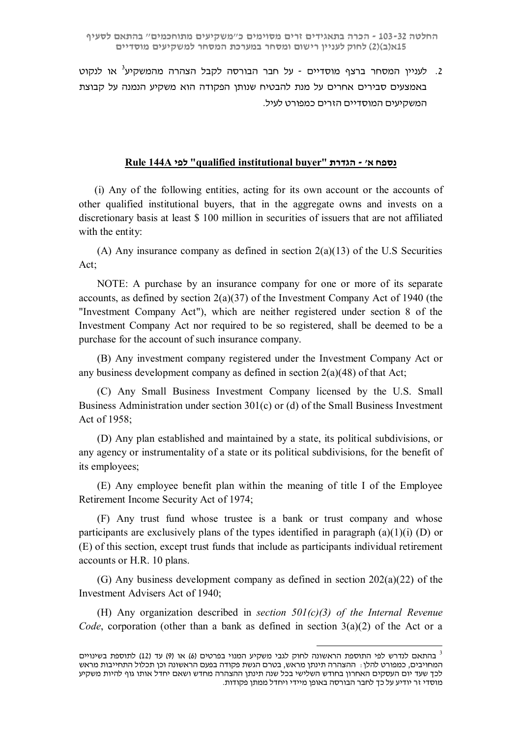2. לעניין המסחר ברצף מוסדיים - על חבר הבורסה לקבל הצהרה מהמשקיע<sup>י</sup> או לנקוט באמצעים סבירים אחרים על מנת להבטיח שנותן הפקודה הוא משקיע הנמנה על קבוצת המשקיעים המוסדיים הזרים כמפורט לעיל.

### **Rule 144A לפי" qualified institutional buyer" הגדרת -' א נספח**

(i) Any of the following entities, acting for its own account or the accounts of other qualified institutional buyers, that in the aggregate owns and invests on a discretionary basis at least \$ 100 million in securities of issuers that are not affiliated with the entity:

(A) Any insurance company as defined in section  $2(a)(13)$  of the U.S Securities Act;

NOTE: A purchase by an insurance company for one or more of its separate accounts, as defined by section 2(a)(37) of the Investment Company Act of 1940 (the "Investment Company Act"), which are neither registered under section 8 of the Investment Company Act nor required to be so registered, shall be deemed to be a purchase for the account of such insurance company.

(B) Any investment company registered under the Investment Company Act or any business development company as defined in section 2(a)(48) of that Act;

(C) Any Small Business Investment Company licensed by the U.S. Small Business Administration under section 301(c) or (d) of the Small Business Investment Act of  $1958$ 

(D) Any plan established and maintained by a state, its political subdivisions, or any agency or instrumentality of a state or its political subdivisions, for the benefit of its employees;

(E) Any employee benefit plan within the meaning of title I of the Employee Retirement Income Security Act of 1974;

(F) Any trust fund whose trustee is a bank or trust company and whose participants are exclusively plans of the types identified in paragraph  $(a)(1)(i)$  (D) or (E) of this section, except trust funds that include as participants individual retirement accounts or H.R. 10 plans.

(G) Any business development company as defined in section 202(a)(22) of the Investment Advisers Act of 1940;

(H) Any organization described in *section 501(c)(3) of the Internal Revenue Code*, corporation (other than a bank as defined in section 3(a)(2) of the Act or a

 $\overline{a}$ 

בהתאם לנדרש לפי התוספת הראשונה לחוק לגבי משקיע המנוי בפרטים (6) או (9) עד (12) לתוספת בשינויים המחויבים, כמפורט להלן: ההצהרה תינתן מראש, בטרם הגשת פקודה בפעם הראשונה וכן תכלול התחייבות מראש לכך שעד יום העסקים האחרון בחודש השלישי בכל שנה תינתן ההצהרה מחדש ושאם יחדל אותו גוף להיות משקיע מוסדי זר יודיע על כך לחבר הבורסה באופן מיידי ויחדל ממתן פקודות.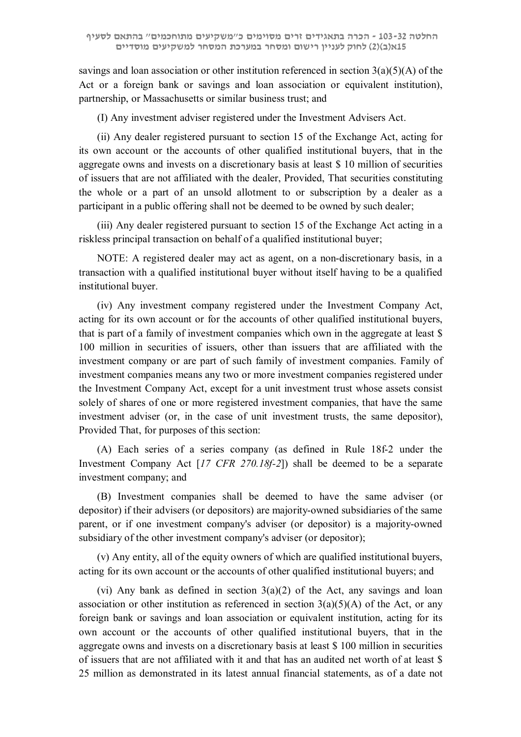savings and loan association or other institution referenced in section  $3(a)(5)(A)$  of the Act or a foreign bank or savings and loan association or equivalent institution), partnership, or Massachusetts or similar business trust; and

(I) Any investment adviser registered under the Investment Advisers Act.

(ii) Any dealer registered pursuant to section 15 of the Exchange Act, acting for its own account or the accounts of other qualified institutional buyers, that in the aggregate owns and invests on a discretionary basis at least \$ 10 million of securities of issuers that are not affiliated with the dealer, Provided, That securities constituting the whole or a part of an unsold allotment to or subscription by a dealer as a participant in a public offering shall not be deemed to be owned by such dealer;

(iii) Any dealer registered pursuant to section 15 of the Exchange Act acting in a riskless principal transaction on behalf of a qualified institutional buyer;

NOTE: A registered dealer may act as agent, on a non-discretionary basis, in a transaction with a qualified institutional buyer without itself having to be a qualified institutional buyer.

(iv) Any investment company registered under the Investment Company Act, acting for its own account or for the accounts of other qualified institutional buyers, that is part of a family of investment companies which own in the aggregate at least \$ 100 million in securities of issuers, other than issuers that are affiliated with the investment company or are part of such family of investment companies. Family of investment companies means any two or more investment companies registered under the Investment Company Act, except for a unit investment trust whose assets consist solely of shares of one or more registered investment companies, that have the same investment adviser (or, in the case of unit investment trusts, the same depositor), Provided That, for purposes of this section:

(A) Each series of a series company (as defined in Rule 18f-2 under the Investment Company Act [*17 CFR 270.18f-2*]) shall be deemed to be a separate investment company; and

(B) Investment companies shall be deemed to have the same adviser (or depositor) if their advisers (or depositors) are majority-owned subsidiaries of the same parent, or if one investment company's adviser (or depositor) is a majority-owned subsidiary of the other investment company's adviser (or depositor);

(v) Any entity, all of the equity owners of which are qualified institutional buyers, acting for its own account or the accounts of other qualified institutional buyers; and

(vi) Any bank as defined in section  $3(a)(2)$  of the Act, any savings and loan association or other institution as referenced in section  $3(a)(5)(A)$  of the Act, or any foreign bank or savings and loan association or equivalent institution, acting for its own account or the accounts of other qualified institutional buyers, that in the aggregate owns and invests on a discretionary basis at least \$ 100 million in securities of issuers that are not affiliated with it and that has an audited net worth of at least \$ 25 million as demonstrated in its latest annual financial statements, as of a date not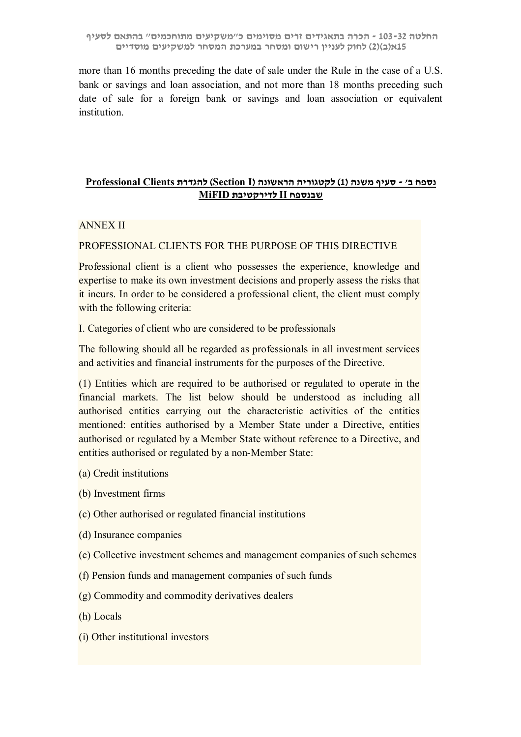more than 16 months preceding the date of sale under the Rule in the case of a U.S. bank or savings and loan association, and not more than 18 months preceding such date of sale for a foreign bank or savings and loan association or equivalent institution.

# **נספח ב' - סעיף משנה (1) לקטגוריה הראשונה (I Section (להגדרת Clients Professional שבנספח II לדירקטיבת MiFID**

## ANNEX II

## PROFESSIONAL CLIENTS FOR THE PURPOSE OF THIS DIRECTIVE

Professional client is a client who possesses the experience, knowledge and expertise to make its own investment decisions and properly assess the risks that it incurs. In order to be considered a professional client, the client must comply with the following criteria:

I. Categories of client who are considered to be professionals

The following should all be regarded as professionals in all investment services and activities and financial instruments for the purposes of the Directive.

(1) Entities which are required to be authorised or regulated to operate in the financial markets. The list below should be understood as including all authorised entities carrying out the characteristic activities of the entities mentioned: entities authorised by a Member State under a Directive, entities authorised or regulated by a Member State without reference to a Directive, and entities authorised or regulated by a non-Member State:

- (a) Credit institutions
- (b) Investment firms
- (c) Other authorised or regulated financial institutions
- (d) Insurance companies
- (e) Collective investment schemes and management companies of such schemes
- (f) Pension funds and management companies of such funds
- (g) Commodity and commodity derivatives dealers
- (h) Locals
- (i) Other institutional investors